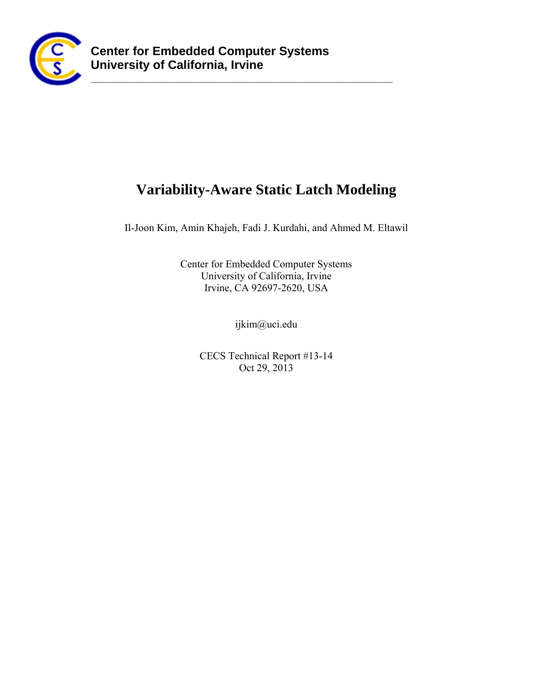

# **Variability-Aware Static Latch Modeling**

Il-Joon Kim, Amin Khajeh, Fadi J. Kurdahi, and Ahmed M. Eltawil

Center for Embedded Computer Systems University of California, Irvine Irvine, CA 92697-2620, USA

ijkim@uci.edu

CECS Technical Report #13-14 Oct 29, 2013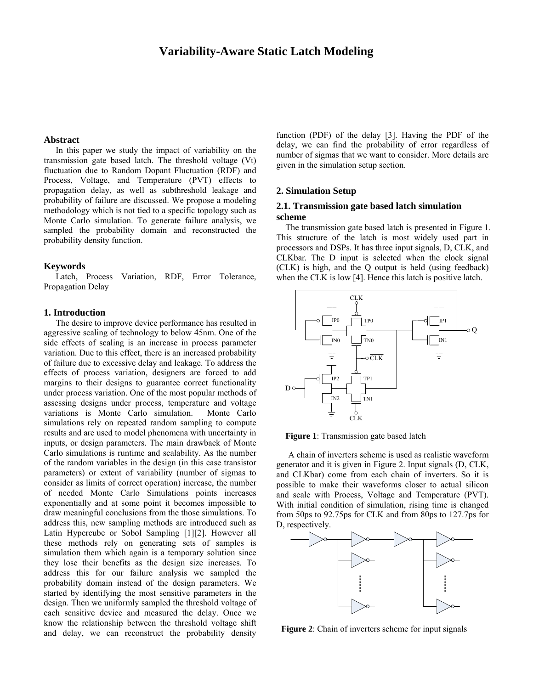## **Variability-Aware Static Latch Modeling**

#### **Abstract**

In this paper we study the impact of variability on the transmission gate based latch. The threshold voltage (Vt) fluctuation due to Random Dopant Fluctuation (RDF) and Process, Voltage, and Temperature (PVT) effects to propagation delay, as well as subthreshold leakage and probability of failure are discussed. We propose a modeling methodology which is not tied to a specific topology such as Monte Carlo simulation. To generate failure analysis, we sampled the probability domain and reconstructed the probability density function.

#### **Keywords**

Latch, Process Variation, RDF, Error Tolerance, Propagation Delay

### **1. Introduction**

The desire to improve device performance has resulted in aggressive scaling of technology to below 45nm. One of the side effects of scaling is an increase in process parameter variation. Due to this effect, there is an increased probability of failure due to excessive delay and leakage. To address the effects of process variation, designers are forced to add margins to their designs to guarantee correct functionality under process variation. One of the most popular methods of assessing designs under process, temperature and voltage variations is Monte Carlo simulation. Monte Carlo simulations rely on repeated random sampling to compute results and are used to model phenomena with uncertainty in inputs, or design parameters. The main drawback of Monte Carlo simulations is runtime and scalability. As the number of the random variables in the design (in this case transistor parameters) or extent of variability (number of sigmas to consider as limits of correct operation) increase, the number of needed Monte Carlo Simulations points increases exponentially and at some point it becomes impossible to draw meaningful conclusions from the those simulations. To address this, new sampling methods are introduced such as Latin Hypercube or Sobol Sampling [1][2]. However all these methods rely on generating sets of samples is simulation them which again is a temporary solution since they lose their benefits as the design size increases. To address this for our failure analysis we sampled the probability domain instead of the design parameters. We started by identifying the most sensitive parameters in the design. Then we uniformly sampled the threshold voltage of each sensitive device and measured the delay. Once we know the relationship between the threshold voltage shift and delay, we can reconstruct the probability density

function (PDF) of the delay [3]. Having the PDF of the delay, we can find the probability of error regardless of number of sigmas that we want to consider. More details are given in the simulation setup section.

#### **2. Simulation Setup**

## **2.1. Transmission gate based latch simulation scheme**

The transmission gate based latch is presented in Figure 1. This structure of the latch is most widely used part in processors and DSPs. It has three input signals, D, CLK, and CLKbar. The D input is selected when the clock signal (CLK) is high, and the Q output is held (using feedback) when the CLK is low [4]. Hence this latch is positive latch.



**Figure 1**: Transmission gate based latch

A chain of inverters scheme is used as realistic waveform generator and it is given in Figure 2. Input signals (D, CLK, and CLKbar) come from each chain of inverters. So it is possible to make their waveforms closer to actual silicon and scale with Process, Voltage and Temperature (PVT). With initial condition of simulation, rising time is changed from 50ps to 92.75ps for CLK and from 80ps to 127.7ps for D, respectively.



**Figure 2**: Chain of inverters scheme for input signals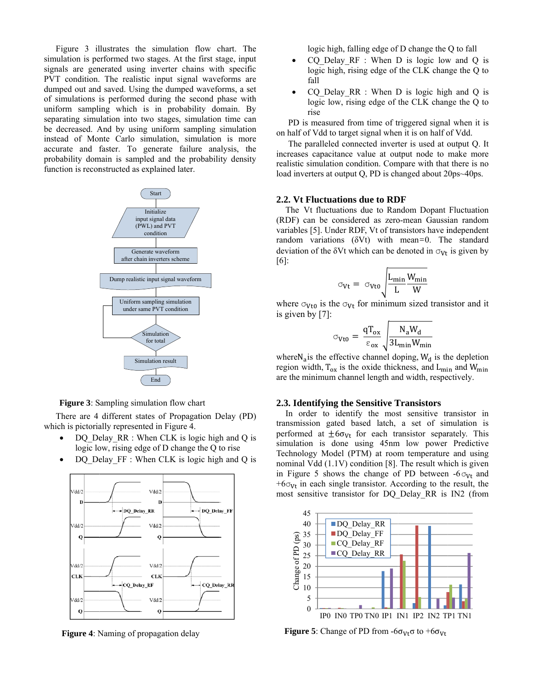Figure 3 illustrates the simulation flow chart. The simulation is performed two stages. At the first stage, input signals are generated using inverter chains with specific PVT condition. The realistic input signal waveforms are dumped out and saved. Using the dumped waveforms, a set of simulations is performed during the second phase with uniform sampling which is in probability domain. By separating simulation into two stages, simulation time can be decreased. And by using uniform sampling simulation instead of Monte Carlo simulation, simulation is more accurate and faster. To generate failure analysis, the probability domain is sampled and the probability density function is reconstructed as explained later.



**Figure 3:** Sampling simulation flow chart

There are 4 different states of Propagation Delay (PD) which is pictorially represented in Figure 4.

- DO Delay RR : When CLK is logic high and O is  $\bullet$ logic low, rising edge of D change the Q to rise
- DQ Delay FF : When CLK is logic high and Q is



**Figure 4:** Naming of propagation delay

logic high, falling edge of D change the Q to fall

- $CQ$  Delay RF : When D is logic low and Q is logic high, rising edge of the CLK change the Q to fall
- CO Delay RR : When D is logic high and O is logic low, rising edge of the CLK change the Q to rise

PD is measured from time of triggered signal when it is on half of Vdd to target signal when it is on half of Vdd.

The paralleled connected inverter is used at output Q. It increases capacitance value at output node to make more realistic simulation condition. Compare with that there is no load inverters at output Q, PD is changed about 20ps~40ps.

#### 2.2. Vt Fluctuations due to RDF

The Vt fluctuations due to Random Dopant Fluctuation (RDF) can be considered as zero-mean Gaussian random variables [5]. Under RDF, Vt of transistors have independent random variations ( $\delta Vt$ ) with mean=0. The standard deviation of the  $\delta Vt$  which can be denoted in  $\sigma_{Vt}$  is given by  $[6]$ :

$$
\sigma_{Vt} = \sigma_{Vt0} \sqrt{\frac{L_{min}}{L} \frac{W_{min}}{W}}
$$

where  $\sigma_{Vt0}$  is the  $\sigma_{Vt}$  for minimum sized transistor and it is given by  $[7]$ :

$$
\sigma_{\text{Vto}} = \frac{qT_{ox}}{\varepsilon_{ox}} \sqrt{\frac{N_a W_d}{3L_{\min} W_{\min}}}
$$

where  $N_a$  is the effective channel doping,  $W_d$  is the depletion region width,  $T_{ox}$  is the oxide thickness, and  $L_{min}$  and  $W_{min}$ are the minimum channel length and width, respectively.

#### 2.3. Identifying the Sensitive Transistors

In order to identify the most sensitive transistor in transmission gated based latch, a set of simulation is performed at  $\pm 6\sigma_{Vt}$  for each transistor separately. This simulation is done using 45nm low power Predictive Technology Model (PTM) at room temperature and using nominal Vdd  $(1.1V)$  condition [8]. The result which is given in Figure 5 shows the change of PD between  $-6\sigma_{Vt}$  and  $+6\sigma_{Vt}$  in each single transistor. According to the result, the most sensitive transistor for DQ Delay RR is IN2 (from



**Figure 5:** Change of PD from  $-6\sigma_{Vt}\sigma$  to  $+6\sigma_{Vt}$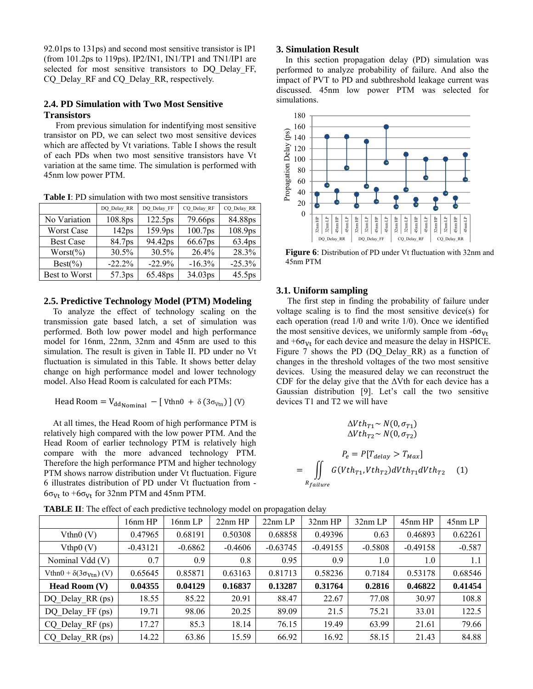92.01ps to 131ps) and second most sensitive transistor is IP1 (from 101.2ps to 119ps). IP2/IN1, IN1/TP1 and TN1/IP1 are selected for most sensitive transistors to DQ Delay FF, CQ Delay RF and CQ Delay RR, respectively.

## **2.4. PD Simulation with Two Most Sensitive Transistors**

From previous simulation for indentifying most sensitive transistor on PD, we can select two most sensitive devices which are affected by Vt variations. Table I shows the result of each PDs when two most sensitive transistors have Vt variation at the same time. The simulation is performed with 45nm low power PTM.

**Table I**: PD simulation with two most sensitive transistors

|                  | DQ_Delay_RR       | DQ Delay FF | CQ_Delay_RF | CQ Delay RR        |  |
|------------------|-------------------|-------------|-------------|--------------------|--|
| No Variation     | 108.8ps           | 122.5ps     | 79.66ps     | 84.88ps            |  |
| Worst Case       | 142 <sub>ps</sub> | 159.9ps     | 100.7ps     | 108.9ps            |  |
| <b>Best Case</b> | 84.7ps            | 94.42ps     | 66.67ps     | 63.4ps             |  |
| $Worst(\%)$      | 30.5%             | 30.5%       | 26.4%       | 28.3%              |  |
| $Best(\%)$       | $-22.2%$          | $-22.9%$    | $-16.3%$    | $-25.3%$           |  |
| Best to Worst    | 57.3ps            | 65.48ps     | 34.03ps     | 45.5 <sub>ps</sub> |  |

## **2.5. Predictive Technology Model (PTM) Modeling**

To analyze the effect of technology scaling on the transmission gate based latch, a set of simulation was performed. Both low power model and high performance model for 16nm, 22nm, 32nm and 45nm are used to this simulation. The result is given in Table II. PD under no Vt fluctuation is simulated in this Table. It shows better delay change on high performance model and lower technology model. Also Head Room is calculated for each PTMs:

Head Room = 
$$
V_{\text{dd} \text{nominal}} - [\text{Vthn0} + \delta (3\sigma_{\text{Vtn}})]
$$
 (V)

At all times, the Head Room of high performance PTM is relatively high compared with the low power PTM. And the Head Room of earlier technology PTM is relatively high compare with the more advanced technology PTM. Therefore the high performance PTM and higher technology PTM shows narrow distribution under Vt fluctuation. Figure 6 illustrates distribution of PD under Vt fluctuation from -  $6\sigma_{Vt}$  to + $6\sigma_{Vt}$  for 32nm PTM and 45nm PTM.

## **3. Simulation Result**

In this section propagation delay (PD) simulation was performed to analyze probability of failure. And also the impact of PVT to PD and subthreshold leakage current was discussed. 45nm low power PTM was selected for simulations.



**Figure 6**: Distribution of PD under Vt fluctuation with 32nm and 45nm PTM

#### **3.1. Uniform sampling**

 The first step in finding the probability of failure under voltage scaling is to find the most sensitive device(s) for each operation (read 1/0 and write 1/0). Once we identified the most sensitive devices, we uniformly sample from  $-6\sigma_{Vt}$ and  $+6\sigma_{Vt}$  for each device and measure the delay in HSPICE. Figure 7 shows the PD (DQ\_Delay\_RR) as a function of changes in the threshold voltages of the two most sensitive devices. Using the measured delay we can reconstruct the CDF for the delay give that the ∆Vth for each device has a Gaussian distribution [9]. Let's call the two sensitive devices T1 and T2 we will have

$$
\Delta Vth_{T1} \sim N(0, \sigma_{T1})
$$

$$
\Delta Vth_{T2} \sim N(0, \sigma_{T2})
$$

$$
P_e = P[T_{delay} > T_{max}]
$$

$$
= \iint_{R_{failure}} G(Vth_{T1}, Vth_{T2}) dVth_{T1} dVth_{T2} \quad (1)
$$

|                                      | 16nm HP    | 16nm LP   | $22nm$ HP | 22nmLP     | $32nm$ HP  | $32nm$ LP | 45 <sub>nm</sub> HP | 45 <sub>nm</sub> LP |
|--------------------------------------|------------|-----------|-----------|------------|------------|-----------|---------------------|---------------------|
| Vthn0(V)                             | 0.47965    | 0.68191   | 0.50308   | 0.68858    | 0.49396    | 0.63      | 0.46893             | 0.62261             |
| Vthp0 (V)                            | $-0.43121$ | $-0.6862$ | $-0.4606$ | $-0.63745$ | $-0.49155$ | $-0.5808$ | $-0.49158$          | $-0.587$            |
| Nominal Vdd (V)                      | 0.7        | 0.9       | 0.8       | 0.95       | 0.9        | 1.0       | 1.0                 | 1.1                 |
| Vthn $0 + \delta(3\sigma_{Vtn})$ (V) | 0.65645    | 0.85871   | 0.63163   | 0.81713    | 0.58236    | 0.7184    | 0.53178             | 0.68546             |
| <b>Head Room (V)</b>                 | 0.04355    | 0.04129   | 0.16837   | 0.13287    | 0.31764    | 0.2816    | 0.46822             | 0.41454             |
| DQ Delay RR (ps)                     | 18.55      | 85.22     | 20.91     | 88.47      | 22.67      | 77.08     | 30.97               | 108.8               |
| DQ Delay_FF (ps)                     | 19.71      | 98.06     | 20.25     | 89.09      | 21.5       | 75.21     | 33.01               | 122.5               |
| $CQ$ Delay RF $(ps)$                 | 17.27      | 85.3      | 18.14     | 76.15      | 19.49      | 63.99     | 21.61               | 79.66               |
| $CQ$ Delay RR (ps)                   | 14.22      | 63.86     | 15.59     | 66.92      | 16.92      | 58.15     | 21.43               | 84.88               |

**TABLE II**: The effect of each predictive technology model on propagation delay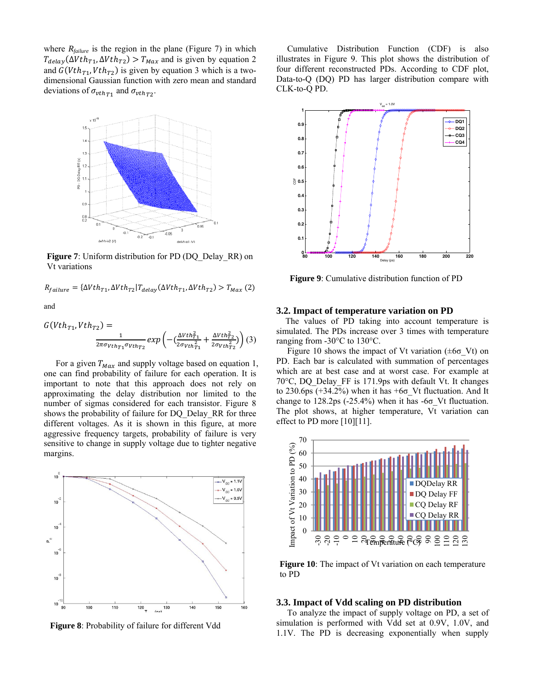where  $R_{failure}$  is the region in the plane (Figure 7) in which  $T_{delay}(\Delta Vth_{T1}, \Delta Vth_{T2}) > T_{Max}$  and is given by equation 2 and  $G(Vth_{T1}, Vth_{T2})$  is given by equation 3 which is a twodimensional Gaussian function with zero mean and standard deviations of  $\sigma_{vth\tau_1}$  and  $\sigma_{vth\tau_2}$ .



**Figure 7**: Uniform distribution for PD (DQ\_Delay\_RR) on Vt variations

 $R_{failure} = {\Delta Vth_{T1}, \Delta Vth_{T2}}|T_{delay}(\Delta Vth_{T1}, \Delta Vth_{T2}) > T_{Max}$  (2) and

$$
\begin{split} G(Vth_{T1},Vth_{T2}) &= \frac{1}{2\pi\sigma_{Vth_{T1}}\sigma_{Vth_{T2}}}exp\left(-(\frac{\Delta Vth_{T1}^2}{2\sigma_{Vth_{T1}^2}}+\frac{\Delta Vth_{T2}^2}{2\sigma_{Vth_{T2}^2}})\right)(3) \end{split}
$$

For a given  $T_{\text{Max}}$  and supply voltage based on equation 1, one can find probability of failure for each operation. It is important to note that this approach does not rely on approximating the delay distribution nor limited to the number of sigmas considered for each transistor. Figure 8 shows the probability of failure for DQ\_Delay\_RR for three different voltages. As it is shown in this figure, at more aggressive frequency targets, probability of failure is very sensitive to change in supply voltage due to tighter negative margins.



 Cumulative Distribution Function (CDF) is also illustrates in Figure 9. This plot shows the distribution of four different reconstructed PDs. According to CDF plot, Data-to-Q (DQ) PD has larger distribution compare with CLK-to-Q PD.



**Figure 9**: Cumulative distribution function of PD

### **3.2. Impact of temperature variation on PD**

The values of PD taking into account temperature is simulated. The PDs increase over 3 times with temperature ranging from -30°C to 130°C.

Figure 10 shows the impact of Vt variation ( $\pm 6\sigma$  Vt) on PD. Each bar is calculated with summation of percentages which are at best case and at worst case. For example at 70°C, DQ\_Delay\_FF is 171.9ps with default Vt. It changes to 230.6ps  $(+34.2\%)$  when it has  $+6\sigma$  Vt fluctuation. And It change to  $128.2 \text{ps}$  (-25.4%) when it has -6 $\sigma$  Vt fluctuation. The plot shows, at higher temperature, Vt variation can effect to PD more [10][11].



**Figure 10**: The impact of Vt variation on each temperature to PD

## **3.3. Impact of Vdd scaling on PD distribution**

 To analyze the impact of supply voltage on PD, a set of simulation is performed with Vdd set at 0.9V, 1.0V, and **1.1V.** The PD is decreasing exponentially when supply and supply the PD is decreasing exponentially when supply